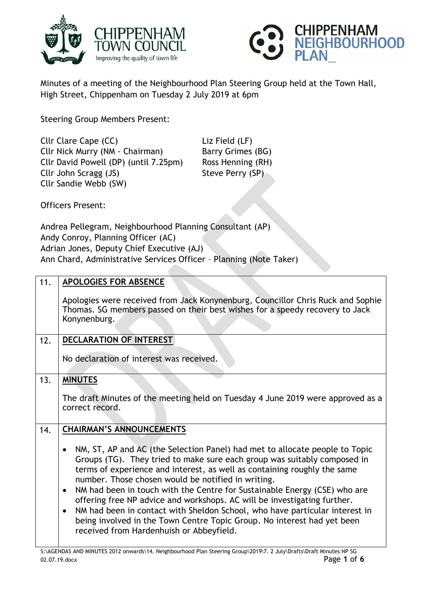



Minutes of a meeting of the Neighbourhood Plan Steering Group held at the Town Hall, High Street, Chippenham on Tuesday 2 July 2019 at 6pm

Steering Group Members Present:

Cllr Clare Cape (CC) Liz Field (LF) Cllr Nick Murry (NM - Chairman) Barry Grimes (BG) Cllr David Powell (DP) (until 7.25pm) Ross Henning (RH) Cllr John Scragg (JS) Steve Perry (SP) Cllr Sandie Webb (SW)

Officers Present:

Andrea Pellegram, Neighbourhood Planning Consultant (AP) Andy Conroy, Planning Officer (AC) Adrian Jones, Deputy Chief Executive (AJ) Ann Chard, Administrative Services Officer – Planning (Note Taker)

| 11. | <b>APOLOGIES FOR ABSENCE</b>                                                                                                                                                    |
|-----|---------------------------------------------------------------------------------------------------------------------------------------------------------------------------------|
|     | Apologies were received from Jack Konynenburg, Councillor Chris Ruck and Sophie<br>Thomas. SG members passed on their best wishes for a speedy recovery to Jack<br>Konynenburg. |
| 12. | DECLARATION OF INTEREST                                                                                                                                                         |
|     | No declaration of interest was received.                                                                                                                                        |
|     |                                                                                                                                                                                 |
| 13. | <b>MINUTES</b>                                                                                                                                                                  |
|     |                                                                                                                                                                                 |
|     | The draft Minutes of the meeting held on Tuesday 4 June 2019 were approved as a<br>correct record.                                                                              |
|     |                                                                                                                                                                                 |
| 14. | <b>CHAIRMAN'S ANNOUNCEMENTS</b>                                                                                                                                                 |
|     | NM, ST, AP and AC (the Selection Panel) had met to allocate people to Topic<br>$\bullet$                                                                                        |
|     | Groups (TG). They tried to make sure each group was suitably composed in                                                                                                        |
|     | terms of experience and interest, as well as containing roughly the same<br>number. Those chosen would be notified in writing.                                                  |
|     | NM had been in touch with the Centre for Sustainable Energy (CSE) who are<br>$\bullet$                                                                                          |
|     | offering free NP advice and workshops. AC will be investigating further.                                                                                                        |
|     | NM had been in contact with Sheldon School, who have particular interest in<br>$\bullet$                                                                                        |
|     | being involved in the Town Centre Topic Group. No interest had yet been<br>received from Hardenhuish or Abbeyfield.                                                             |
|     |                                                                                                                                                                                 |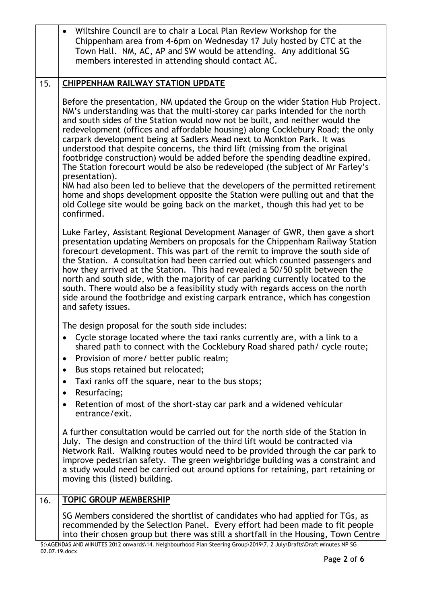|     | Wiltshire Council are to chair a Local Plan Review Workshop for the<br>Chippenham area from 4-6pm on Wednesday 17 July hosted by CTC at the<br>Town Hall. NM, AC, AP and SW would be attending. Any additional SG<br>members interested in attending should contact AC.                                                                                                                                                                                                                                                                                                                                                                                                                                                                                                                                                                                                                                                                                                                                                                                                                                                                                                                                                                                                                                                                                                                                                                                                                                                                        |
|-----|------------------------------------------------------------------------------------------------------------------------------------------------------------------------------------------------------------------------------------------------------------------------------------------------------------------------------------------------------------------------------------------------------------------------------------------------------------------------------------------------------------------------------------------------------------------------------------------------------------------------------------------------------------------------------------------------------------------------------------------------------------------------------------------------------------------------------------------------------------------------------------------------------------------------------------------------------------------------------------------------------------------------------------------------------------------------------------------------------------------------------------------------------------------------------------------------------------------------------------------------------------------------------------------------------------------------------------------------------------------------------------------------------------------------------------------------------------------------------------------------------------------------------------------------|
| 15. | <b>CHIPPENHAM RAILWAY STATION UPDATE</b>                                                                                                                                                                                                                                                                                                                                                                                                                                                                                                                                                                                                                                                                                                                                                                                                                                                                                                                                                                                                                                                                                                                                                                                                                                                                                                                                                                                                                                                                                                       |
|     | Before the presentation, NM updated the Group on the wider Station Hub Project.<br>NM's understanding was that the multi-storey car parks intended for the north<br>and south sides of the Station would now not be built, and neither would the<br>redevelopment (offices and affordable housing) along Cocklebury Road; the only<br>carpark development being at Sadlers Mead next to Monkton Park. It was<br>understood that despite concerns, the third lift (missing from the original<br>footbridge construction) would be added before the spending deadline expired.<br>The Station forecourt would be also be redeveloped (the subject of Mr Farley's<br>presentation).<br>NM had also been led to believe that the developers of the permitted retirement<br>home and shops development opposite the Station were pulling out and that the<br>old College site would be going back on the market, though this had yet to be<br>confirmed.<br>Luke Farley, Assistant Regional Development Manager of GWR, then gave a short<br>presentation updating Members on proposals for the Chippenham Railway Station<br>forecourt development. This was part of the remit to improve the south side of<br>the Station. A consultation had been carried out which counted passengers and<br>how they arrived at the Station. This had revealed a 50/50 split between the<br>north and south side, with the majority of car parking currently located to the<br>south. There would also be a feasibility study with regards access on the north |
|     | side around the footbridge and existing carpark entrance, which has congestion<br>and safety issues.                                                                                                                                                                                                                                                                                                                                                                                                                                                                                                                                                                                                                                                                                                                                                                                                                                                                                                                                                                                                                                                                                                                                                                                                                                                                                                                                                                                                                                           |
|     | The design proposal for the south side includes:                                                                                                                                                                                                                                                                                                                                                                                                                                                                                                                                                                                                                                                                                                                                                                                                                                                                                                                                                                                                                                                                                                                                                                                                                                                                                                                                                                                                                                                                                               |
|     | Cycle storage located where the taxi ranks currently are, with a link to a<br>shared path to connect with the Cocklebury Road shared path/ cycle route;                                                                                                                                                                                                                                                                                                                                                                                                                                                                                                                                                                                                                                                                                                                                                                                                                                                                                                                                                                                                                                                                                                                                                                                                                                                                                                                                                                                        |
|     | Provision of more/ better public realm;<br>$\bullet$                                                                                                                                                                                                                                                                                                                                                                                                                                                                                                                                                                                                                                                                                                                                                                                                                                                                                                                                                                                                                                                                                                                                                                                                                                                                                                                                                                                                                                                                                           |
|     | Bus stops retained but relocated;<br>$\bullet$                                                                                                                                                                                                                                                                                                                                                                                                                                                                                                                                                                                                                                                                                                                                                                                                                                                                                                                                                                                                                                                                                                                                                                                                                                                                                                                                                                                                                                                                                                 |
|     | Taxi ranks off the square, near to the bus stops;<br>$\bullet$<br>Resurfacing;<br>$\bullet$                                                                                                                                                                                                                                                                                                                                                                                                                                                                                                                                                                                                                                                                                                                                                                                                                                                                                                                                                                                                                                                                                                                                                                                                                                                                                                                                                                                                                                                    |
|     | Retention of most of the short-stay car park and a widened vehicular<br>$\bullet$<br>entrance/exit.                                                                                                                                                                                                                                                                                                                                                                                                                                                                                                                                                                                                                                                                                                                                                                                                                                                                                                                                                                                                                                                                                                                                                                                                                                                                                                                                                                                                                                            |
|     | A further consultation would be carried out for the north side of the Station in<br>July. The design and construction of the third lift would be contracted via<br>Network Rail. Walking routes would need to be provided through the car park to<br>improve pedestrian safety. The green weighbridge building was a constraint and<br>a study would need be carried out around options for retaining, part retaining or<br>moving this (listed) building.                                                                                                                                                                                                                                                                                                                                                                                                                                                                                                                                                                                                                                                                                                                                                                                                                                                                                                                                                                                                                                                                                     |
| 16. | <b>TOPIC GROUP MEMBERSHIP</b>                                                                                                                                                                                                                                                                                                                                                                                                                                                                                                                                                                                                                                                                                                                                                                                                                                                                                                                                                                                                                                                                                                                                                                                                                                                                                                                                                                                                                                                                                                                  |
|     | SG Members considered the shortlist of candidates who had applied for TGs, as<br>recommended by the Selection Panel. Every effort had been made to fit people<br>into their chosen group but there was still a shortfall in the Housing, Town Centre                                                                                                                                                                                                                                                                                                                                                                                                                                                                                                                                                                                                                                                                                                                                                                                                                                                                                                                                                                                                                                                                                                                                                                                                                                                                                           |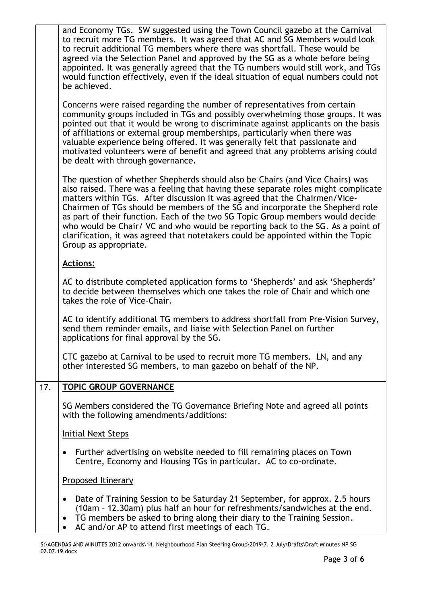|     | and Economy TGs. SW suggested using the Town Council gazebo at the Carnival<br>to recruit more TG members. It was agreed that AC and SG Members would look<br>to recruit additional TG members where there was shortfall. These would be<br>agreed via the Selection Panel and approved by the SG as a whole before being<br>appointed. It was generally agreed that the TG numbers would still work, and TGs<br>would function effectively, even if the ideal situation of equal numbers could not<br>be achieved.                                                                                                  |
|-----|----------------------------------------------------------------------------------------------------------------------------------------------------------------------------------------------------------------------------------------------------------------------------------------------------------------------------------------------------------------------------------------------------------------------------------------------------------------------------------------------------------------------------------------------------------------------------------------------------------------------|
|     | Concerns were raised regarding the number of representatives from certain<br>community groups included in TGs and possibly overwhelming those groups. It was<br>pointed out that it would be wrong to discriminate against applicants on the basis<br>of affiliations or external group memberships, particularly when there was<br>valuable experience being offered. It was generally felt that passionate and<br>motivated volunteers were of benefit and agreed that any problems arising could<br>be dealt with through governance.                                                                             |
|     | The question of whether Shepherds should also be Chairs (and Vice Chairs) was<br>also raised. There was a feeling that having these separate roles might complicate<br>matters within TGs. After discussion it was agreed that the Chairmen/Vice-<br>Chairmen of TGs should be members of the SG and incorporate the Shepherd role<br>as part of their function. Each of the two SG Topic Group members would decide<br>who would be Chair/ VC and who would be reporting back to the SG. As a point of<br>clarification, it was agreed that notetakers could be appointed within the Topic<br>Group as appropriate. |
|     | <b>Actions:</b>                                                                                                                                                                                                                                                                                                                                                                                                                                                                                                                                                                                                      |
|     | AC to distribute completed application forms to 'Shepherds' and ask 'Shepherds'<br>to decide between themselves which one takes the role of Chair and which one<br>takes the role of Vice-Chair.                                                                                                                                                                                                                                                                                                                                                                                                                     |
|     | AC to identify additional TG members to address shortfall from Pre-Vision Survey,<br>send them reminder emails, and liaise with Selection Panel on further<br>applications for final approval by the SG.                                                                                                                                                                                                                                                                                                                                                                                                             |
|     | CTC gazebo at Carnival to be used to recruit more TG members. LN, and any<br>other interested SG members, to man gazebo on behalf of the NP.                                                                                                                                                                                                                                                                                                                                                                                                                                                                         |
| 17. | <b>TOPIC GROUP GOVERNANCE</b>                                                                                                                                                                                                                                                                                                                                                                                                                                                                                                                                                                                        |
|     | SG Members considered the TG Governance Briefing Note and agreed all points<br>with the following amendments/additions:                                                                                                                                                                                                                                                                                                                                                                                                                                                                                              |
|     | <b>Initial Next Steps</b>                                                                                                                                                                                                                                                                                                                                                                                                                                                                                                                                                                                            |
|     | Further advertising on website needed to fill remaining places on Town<br>٠<br>Centre, Economy and Housing TGs in particular. AC to co-ordinate.                                                                                                                                                                                                                                                                                                                                                                                                                                                                     |
|     | Proposed Itinerary                                                                                                                                                                                                                                                                                                                                                                                                                                                                                                                                                                                                   |
|     | Date of Training Session to be Saturday 21 September, for approx. 2.5 hours<br>(10am - 12.30am) plus half an hour for refreshments/sandwiches at the end.<br>TG members be asked to bring along their diary to the Training Session.<br>$\bullet$<br>AC and/or AP to attend first meetings of each TG.                                                                                                                                                                                                                                                                                                               |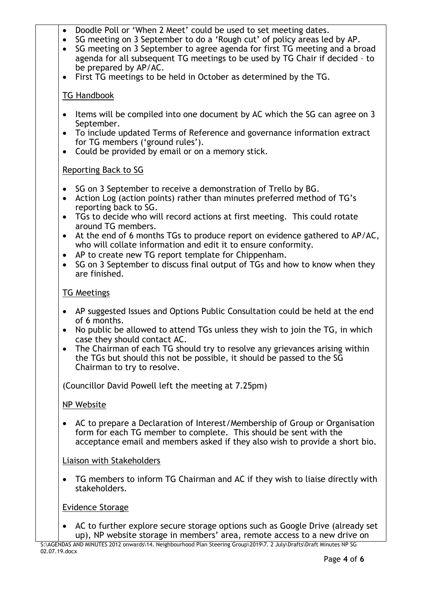- Doodle Poll or 'When 2 Meet' could be used to set meeting dates.
- SG meeting on 3 September to do a 'Rough cut' of policy areas led by AP.
- SG meeting on 3 September to agree agenda for first TG meeting and a broad agenda for all subsequent TG meetings to be used by TG Chair if decided – to be prepared by AP/AC.
- First TG meetings to be held in October as determined by the TG.

# TG Handbook

- Items will be compiled into one document by AC which the SG can agree on 3 September.
- To include updated Terms of Reference and governance information extract for TG members ('ground rules').
- Could be provided by email or on a memory stick.

# Reporting Back to SG

- SG on 3 September to receive a demonstration of Trello by BG.
- Action Log (action points) rather than minutes preferred method of TG's reporting back to SG.
- TGs to decide who will record actions at first meeting. This could rotate around TG members.
- At the end of 6 months TGs to produce report on evidence gathered to AP/AC, who will collate information and edit it to ensure conformity.
- AP to create new TG report template for Chippenham.
- $\bullet$  SG on 3 September to discuss final output of TGs and how to know when they are finished.

# TG Meetings

- AP suggested Issues and Options Public Consultation could be held at the end of 6 months.
- No public be allowed to attend TGs unless they wish to join the TG, in which case they should contact AC.
- The Chairman of each TG should try to resolve any grievances arising within the TGs but should this not be possible, it should be passed to the SG Chairman to try to resolve.

(Councillor David Powell left the meeting at 7.25pm)

# NP Website

 AC to prepare a Declaration of Interest/Membership of Group or Organisation form for each TG member to complete. This should be sent with the acceptance email and members asked if they also wish to provide a short bio.

Liaison with Stakeholders

 TG members to inform TG Chairman and AC if they wish to liaise directly with stakeholders.

# Evidence Storage

 AC to further explore secure storage options such as Google Drive (already set up), NP website storage in members' area, remote access to a new drive on

S:\AGENDAS AND MINUTES 2012 onwards\14. Neighbourhood Plan Steering Group\2019\7. 2 July\Drafts\Draft Minutes NP SG 02.07.19.docx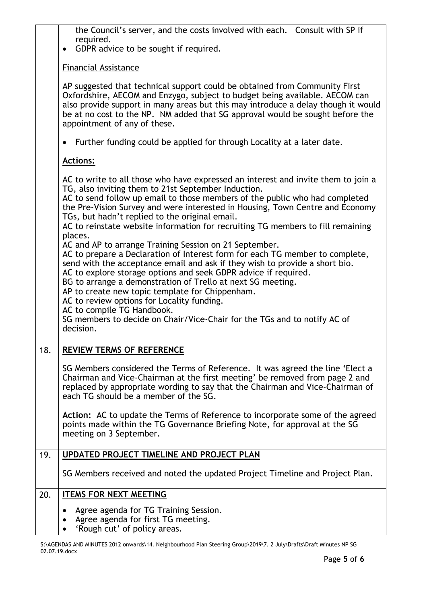the Council's server, and the costs involved with each. Consult with SP if required.

• GDPR advice to be sought if required.

## Financial Assistance

AP suggested that technical support could be obtained from Community First Oxfordshire, AECOM and Enzygo, subject to budget being available. AECOM can also provide support in many areas but this may introduce a delay though it would be at no cost to the NP. NM added that SG approval would be sought before the appointment of any of these.

Further funding could be applied for through Locality at a later date.

# **Actions:**

|     | AC to write to all those who have expressed an interest and invite them to join a<br>TG, also inviting them to 21st September Induction.<br>AC to send follow up email to those members of the public who had completed<br>the Pre-Vision Survey and were interested in Housing, Town Centre and Economy<br>TGs, but hadn't replied to the original email.<br>AC to reinstate website information for recruiting TG members to fill remaining<br>places.<br>AC and AP to arrange Training Session on 21 September.<br>AC to prepare a Declaration of Interest form for each TG member to complete,<br>send with the acceptance email and ask if they wish to provide a short bio.<br>AC to explore storage options and seek GDPR advice if required.<br>BG to arrange a demonstration of Trello at next SG meeting.<br>AP to create new topic template for Chippenham.<br>AC to review options for Locality funding.<br>AC to compile TG Handbook.<br>SG members to decide on Chair/Vice-Chair for the TGs and to notify AC of<br>decision. |
|-----|---------------------------------------------------------------------------------------------------------------------------------------------------------------------------------------------------------------------------------------------------------------------------------------------------------------------------------------------------------------------------------------------------------------------------------------------------------------------------------------------------------------------------------------------------------------------------------------------------------------------------------------------------------------------------------------------------------------------------------------------------------------------------------------------------------------------------------------------------------------------------------------------------------------------------------------------------------------------------------------------------------------------------------------------|
| 18. | <b>REVIEW TERMS OF REFERENCE</b>                                                                                                                                                                                                                                                                                                                                                                                                                                                                                                                                                                                                                                                                                                                                                                                                                                                                                                                                                                                                            |
|     | SG Members considered the Terms of Reference. It was agreed the line 'Elect a<br>Chairman and Vice-Chairman at the first meeting' be removed from page 2 and<br>replaced by appropriate wording to say that the Chairman and Vice-Chairman of<br>each TG should be a member of the SG.                                                                                                                                                                                                                                                                                                                                                                                                                                                                                                                                                                                                                                                                                                                                                      |
|     | Action: AC to update the Terms of Reference to incorporate some of the agreed<br>points made within the TG Governance Briefing Note, for approval at the SG<br>meeting on 3 September.                                                                                                                                                                                                                                                                                                                                                                                                                                                                                                                                                                                                                                                                                                                                                                                                                                                      |
| 19. | UPDATED PROJECT TIMELINE AND PROJECT PLAN                                                                                                                                                                                                                                                                                                                                                                                                                                                                                                                                                                                                                                                                                                                                                                                                                                                                                                                                                                                                   |
|     | SG Members received and noted the updated Project Timeline and Project Plan.                                                                                                                                                                                                                                                                                                                                                                                                                                                                                                                                                                                                                                                                                                                                                                                                                                                                                                                                                                |
| 20. | <b>ITEMS FOR NEXT MEETING</b>                                                                                                                                                                                                                                                                                                                                                                                                                                                                                                                                                                                                                                                                                                                                                                                                                                                                                                                                                                                                               |
|     | Agree agenda for TG Training Session.<br>$\bullet$<br>Agree agenda for first TG meeting.<br>$\bullet$<br>• 'Rough cut' of policy areas.                                                                                                                                                                                                                                                                                                                                                                                                                                                                                                                                                                                                                                                                                                                                                                                                                                                                                                     |